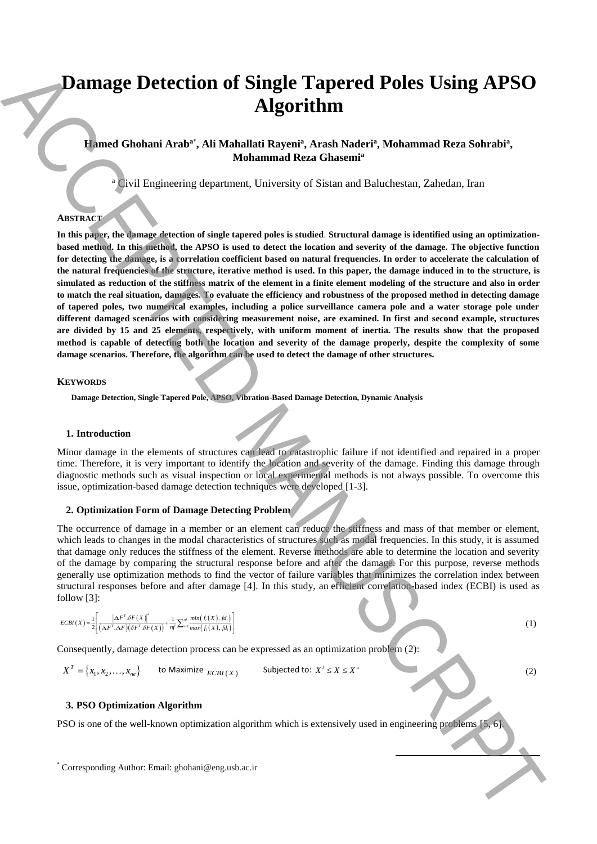# **Damage Detection of Single Tapered Poles Using APSO Algorithm**

# Hamed Ghohani Arab<sup>a\*</sup>, Ali Mahallati Rayeni<sup>a</sup>, Arash Naderi<sup>a</sup>, Mohammad Reza Sohrabi<sup>a</sup>, **Mohammad Reza Ghasemi<sup>a</sup>**

<sup>a</sup> Civil Engineering department, University of Sistan and Baluchestan, Zahedan, Iran

## **ABSTRACT**

**In this paper, the damage detection of single tapered poles is studied**. **Structural damage is identified using an optimizationbased method. In this method, the APSO is used to detect the location and severity of the damage. The objective function** for detecting the damage, is a correlation coefficient based on natural frequencies. In order to accelerate the calculation of **the natural frequencies of the structure, iterative method is used. In this paper, the damage induced in to the structure, is simulated as reduction of the stiffness matrix of the element in a finite element modeling of the structure and also in order to match the real situation, damages. To evaluate the efficiency and robustness of the proposed method in detecting damage of tapered poles, two numerical examples, including a police surveillance camera pole and a water storage pole under different damaged scenarios with considering measurement noise, are examined. In first and second example, structures are divided by 15 and 25 elements, respectively, with uniform moment of inertia. The results show that the proposed method is capable of detecting both the location and severity of the damage properly, despite the complexity of some damage scenarios. Therefore, the algorithm can be used to detect the damage of other structures. Darmage Detection of Single Tapered Poles Using APSO<br>
Algorithm<br>
Algorithm Author: Antaly and the eng.us and the eng.us and the eng.use of the<br>state of the corresponding appearance the corresponding Author: Antaly<br>
Antal** 

#### **KEYWORDS**

**Damage Detection, Single Tapered Pole, APSO, Vibration-Based Damage Detection, Dynamic Analysis**

# **1. Introduction**

Minor damage in the elements of structures can lead to catastrophic failure if not identified and repaired in a proper time. Therefore, it is very important to identify the location and severity of the damage. Finding this damage through diagnostic methods such as visual inspection or local experimental methods is not always possible. To overcome this issue, optimization-based damage detection techniques were developed [1-3].

# **2. Optimization Form of Damage Detecting Problem**

The occurrence of damage in a member or an element can reduce the stiffness and mass of that member or element, which leads to changes in the modal characteristics of structures such as modal frequencies. In this study, it is assumed that damage only reduces the stiffness of the element. Reverse methods are able to determine the location and severity of the damage by comparing the structural response before and after the damage. For this purpose, reverse methods generally use optimization methods to find the vector of failure variables that minimizes the correlation index between structural responses before and after damage [4]. In this study, an efficient correlation-based index (ECBI) is used as follow [3]:

$$
ECBI(X) = \frac{1}{2} \left[ \frac{\left|\Delta F^T \mathcal{S}F(X)\right|^2}{\left(\Delta F^T \Delta F\right) \left(\delta F^T \mathcal{S}F(X)\right)} + \frac{1}{nf} \sum_{i=1}^{nf} \frac{min(f_i(X), f d_i)}{max(f_i(X), f d_i)} \right]
$$

Consequently, damage detection process can be expressed as an optimization problem (2):

 $X^T = \{x_1, x_2, \ldots, x_{ne}\}$  to Maximize  $_{ECBI(X)}$  Subjected to:  $X' \le X \le X^u$ 

### (2)

(1)

#### **3. PSO Optimization Algorithm**

PSO is one of the well-known optimization algorithm which is extensively used in engineering problems [5, 6].

**.**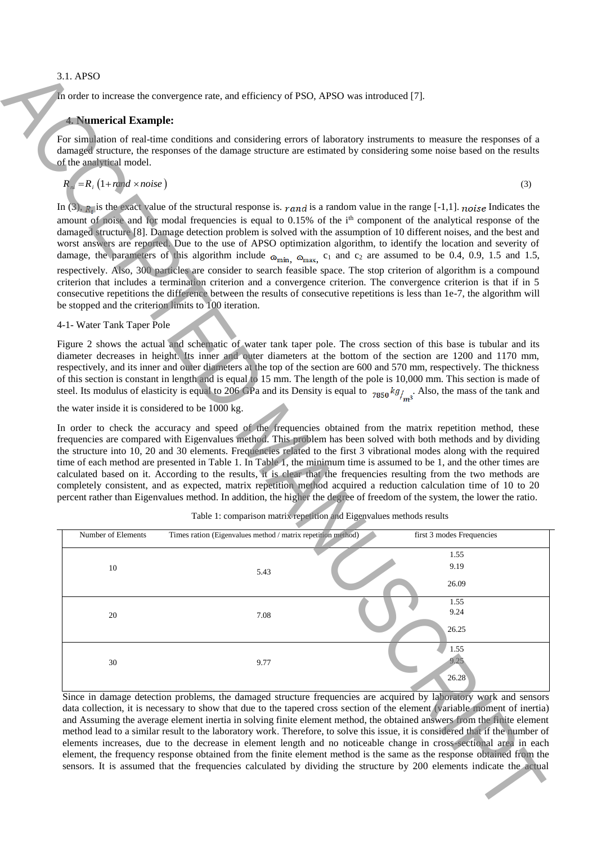# 3.1. APSO

# **4. Numerical Example:**

$$
R_m = R_i \left( 1 + ran \, d \times noise \right) \tag{3}
$$

# 4-1- Water Tank Taper Pole

| 3.1. APSO                                                                                                                                                                                                                                                                                                                                                                                                                                                                                                                                                                                                                                                                                                                                                                                                                                                                                                                                   |                                                                                            |  |                                                                                                                                                                                                                                                                                                                                                                                                                                                                                                                                                                                                                                                                                                                                                                                                                                                                                     |  |  |  |  |  |  |
|---------------------------------------------------------------------------------------------------------------------------------------------------------------------------------------------------------------------------------------------------------------------------------------------------------------------------------------------------------------------------------------------------------------------------------------------------------------------------------------------------------------------------------------------------------------------------------------------------------------------------------------------------------------------------------------------------------------------------------------------------------------------------------------------------------------------------------------------------------------------------------------------------------------------------------------------|--------------------------------------------------------------------------------------------|--|-------------------------------------------------------------------------------------------------------------------------------------------------------------------------------------------------------------------------------------------------------------------------------------------------------------------------------------------------------------------------------------------------------------------------------------------------------------------------------------------------------------------------------------------------------------------------------------------------------------------------------------------------------------------------------------------------------------------------------------------------------------------------------------------------------------------------------------------------------------------------------------|--|--|--|--|--|--|
|                                                                                                                                                                                                                                                                                                                                                                                                                                                                                                                                                                                                                                                                                                                                                                                                                                                                                                                                             | In order to increase the convergence rate, and efficiency of PSO, APSO was introduced [7]. |  |                                                                                                                                                                                                                                                                                                                                                                                                                                                                                                                                                                                                                                                                                                                                                                                                                                                                                     |  |  |  |  |  |  |
| <b>4. Numerical Example:</b>                                                                                                                                                                                                                                                                                                                                                                                                                                                                                                                                                                                                                                                                                                                                                                                                                                                                                                                |                                                                                            |  |                                                                                                                                                                                                                                                                                                                                                                                                                                                                                                                                                                                                                                                                                                                                                                                                                                                                                     |  |  |  |  |  |  |
| For simulation of real-time conditions and considering errors of laboratory instruments to measure the responses of a<br>damaged structure, the responses of the damage structure are estimated by considering some noise based on the results<br>of the analytical model.                                                                                                                                                                                                                                                                                                                                                                                                                                                                                                                                                                                                                                                                  |                                                                                            |  |                                                                                                                                                                                                                                                                                                                                                                                                                                                                                                                                                                                                                                                                                                                                                                                                                                                                                     |  |  |  |  |  |  |
| $R_{ni} = R_i (1 + rand \times noise)$                                                                                                                                                                                                                                                                                                                                                                                                                                                                                                                                                                                                                                                                                                                                                                                                                                                                                                      |                                                                                            |  | (3)                                                                                                                                                                                                                                                                                                                                                                                                                                                                                                                                                                                                                                                                                                                                                                                                                                                                                 |  |  |  |  |  |  |
| In (3), $R_i$ is the exact value of the structural response is. rand is a random value in the range [-1,1]. noise Indicates the<br>amount of noise and for modal frequencies is equal to 0.15% of the i <sup>th</sup> component of the analytical response of the<br>damaged structure [8]. Damage detection problem is solved with the assumption of 10 different noises, and the best and<br>worst answers are reported. Due to the use of APSO optimization algorithm, to identify the location and severity of<br>damage, the parameters of this algorithm include $\omega_{\text{min}}$ , $\omega_{\text{max}}$ , $c_1$ and $c_2$ are assumed to be 0.4, 0.9, 1.5 and 1.5,                                                                                                                                                                                                                                                             |                                                                                            |  |                                                                                                                                                                                                                                                                                                                                                                                                                                                                                                                                                                                                                                                                                                                                                                                                                                                                                     |  |  |  |  |  |  |
| respectively. Also, 300 particles are consider to search feasible space. The stop criterion of algorithm is a compound<br>criterion that includes a termination criterion and a convergence criterion. The convergence criterion is that if in 5<br>consecutive repetitions the difference between the results of consecutive repetitions is less than 1e-7, the algorithm will<br>be stopped and the criterion limits to 100 iteration.                                                                                                                                                                                                                                                                                                                                                                                                                                                                                                    |                                                                                            |  |                                                                                                                                                                                                                                                                                                                                                                                                                                                                                                                                                                                                                                                                                                                                                                                                                                                                                     |  |  |  |  |  |  |
| 4-1- Water Tank Taper Pole<br>Figure 2 shows the actual and schematic of water tank taper pole. The cross section of this base is tubular and its<br>diameter decreases in height. Its inner and outer diameters at the bottom of the section are 1200 and 1170 mm,<br>respectively, and its inner and outer diameters at the top of the section are 600 and 570 mm, respectively. The thickness<br>of this section is constant in length and is equal to 15 mm. The length of the pole is 10,000 mm. This section is made of<br>steel. Its modulus of elasticity is equal to 206 GPa and its Density is equal to $_{7850} kg_{\ell m3}$ . Also, the mass of the tank and                                                                                                                                                                                                                                                                   |                                                                                            |  |                                                                                                                                                                                                                                                                                                                                                                                                                                                                                                                                                                                                                                                                                                                                                                                                                                                                                     |  |  |  |  |  |  |
| the water inside it is considered to be 1000 kg.                                                                                                                                                                                                                                                                                                                                                                                                                                                                                                                                                                                                                                                                                                                                                                                                                                                                                            |                                                                                            |  |                                                                                                                                                                                                                                                                                                                                                                                                                                                                                                                                                                                                                                                                                                                                                                                                                                                                                     |  |  |  |  |  |  |
| In order to check the accuracy and speed of the frequencies obtained from the matrix repetition method, these<br>frequencies are compared with Eigenvalues method. This problem has been solved with both methods and by dividing<br>the structure into 10, 20 and 30 elements. Frequencies related to the first 3 vibrational modes along with the required<br>time of each method are presented in Table 1. In Table 1, the minimum time is assumed to be 1, and the other times are<br>calculated based on it. According to the results, it is clear that the frequencies resulting from the two methods are<br>completely consistent, and as expected, matrix repetition method acquired a reduction calculation time of 10 to 20<br>percent rather than Eigenvalues method. In addition, the higher the degree of freedom of the system, the lower the ratio.<br>Table 1: comparison matrix repetition and Eigenvalues methods results |                                                                                            |  |                                                                                                                                                                                                                                                                                                                                                                                                                                                                                                                                                                                                                                                                                                                                                                                                                                                                                     |  |  |  |  |  |  |
| Number of Elements                                                                                                                                                                                                                                                                                                                                                                                                                                                                                                                                                                                                                                                                                                                                                                                                                                                                                                                          | Times ration (Eigenvalues method / matrix repetition method)                               |  | first 3 modes Frequencies                                                                                                                                                                                                                                                                                                                                                                                                                                                                                                                                                                                                                                                                                                                                                                                                                                                           |  |  |  |  |  |  |
| $10\,$                                                                                                                                                                                                                                                                                                                                                                                                                                                                                                                                                                                                                                                                                                                                                                                                                                                                                                                                      | 5.43                                                                                       |  | 1.55<br>9.19<br>26.09                                                                                                                                                                                                                                                                                                                                                                                                                                                                                                                                                                                                                                                                                                                                                                                                                                                               |  |  |  |  |  |  |
| 20                                                                                                                                                                                                                                                                                                                                                                                                                                                                                                                                                                                                                                                                                                                                                                                                                                                                                                                                          | 7.08                                                                                       |  | 1.55<br>9.24<br>26.25                                                                                                                                                                                                                                                                                                                                                                                                                                                                                                                                                                                                                                                                                                                                                                                                                                                               |  |  |  |  |  |  |
| 30                                                                                                                                                                                                                                                                                                                                                                                                                                                                                                                                                                                                                                                                                                                                                                                                                                                                                                                                          | 9.77                                                                                       |  | 1.55<br>9.25<br>26.28                                                                                                                                                                                                                                                                                                                                                                                                                                                                                                                                                                                                                                                                                                                                                                                                                                                               |  |  |  |  |  |  |
|                                                                                                                                                                                                                                                                                                                                                                                                                                                                                                                                                                                                                                                                                                                                                                                                                                                                                                                                             |                                                                                            |  | Since in damage detection problems, the damaged structure frequencies are acquired by laboratory work and sensors<br>data collection, it is necessary to show that due to the tapered cross section of the element (variable moment of inertia)<br>and Assuming the average element inertia in solving finite element method, the obtained answers from the finite element<br>method lead to a similar result to the laboratory work. Therefore, to solve this issue, it is considered that if the number of<br>elements increases, due to the decrease in element length and no noticeable change in cross-sectional area in each<br>element, the frequency response obtained from the finite element method is the same as the response obtained from the<br>sensors. It is assumed that the frequencies calculated by dividing the structure by 200 elements indicate the actual |  |  |  |  |  |  |

|  |  | Table 1: comparison matrix repetition and Eigenvalues methods results |
|--|--|-----------------------------------------------------------------------|
|  |  |                                                                       |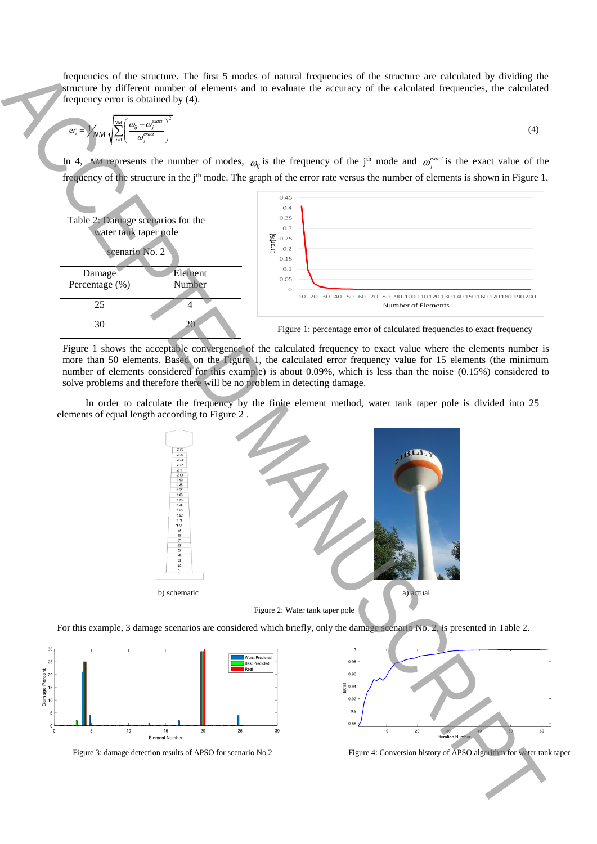frequencies of the structure. The first 5 modes of natural frequencies of the structure are calculated by dividing the structure by different number of elements and to evaluate the accuracy of the calculated frequencies, the calculated frequency error is obtained by (4).

$$
er_i = \sqrt{NM} \sqrt{\sum_{j=1}^{NM} \left( \frac{\omega_{ij} - \omega_j^{exact}}{\omega_j^{exact}} \right)^2}
$$
 (4)

In 4, represents the number of modes,  $\omega_{ij}$  is the frequency of the j<sup>th</sup> mode and  $\omega_j^{exact}$  is the exact value of the frequency of the structure in the j<sup>th</sup> mode. The graph of the error rate versus the number of elements is shown in Figure 1.



Figure 1 shows the acceptable convergence of the calculated frequency to exact value where the elements number is more than 50 elements. Based on the Figure 1, the calculated error frequency value for 15 elements (the minimum number of elements considered for this example) is about 0.09%, which is less than the noise (0.15%) considered to solve problems and therefore there will be no problem in detecting damage.

In order to calculate the frequency by the finite element method, water tank taper pole is divided into 25 elements of equal length according to Figure 2 .



For this example, 3 damage scenarios are considered which briefly, only the damage scenario No. 2, is presented in Table 2.